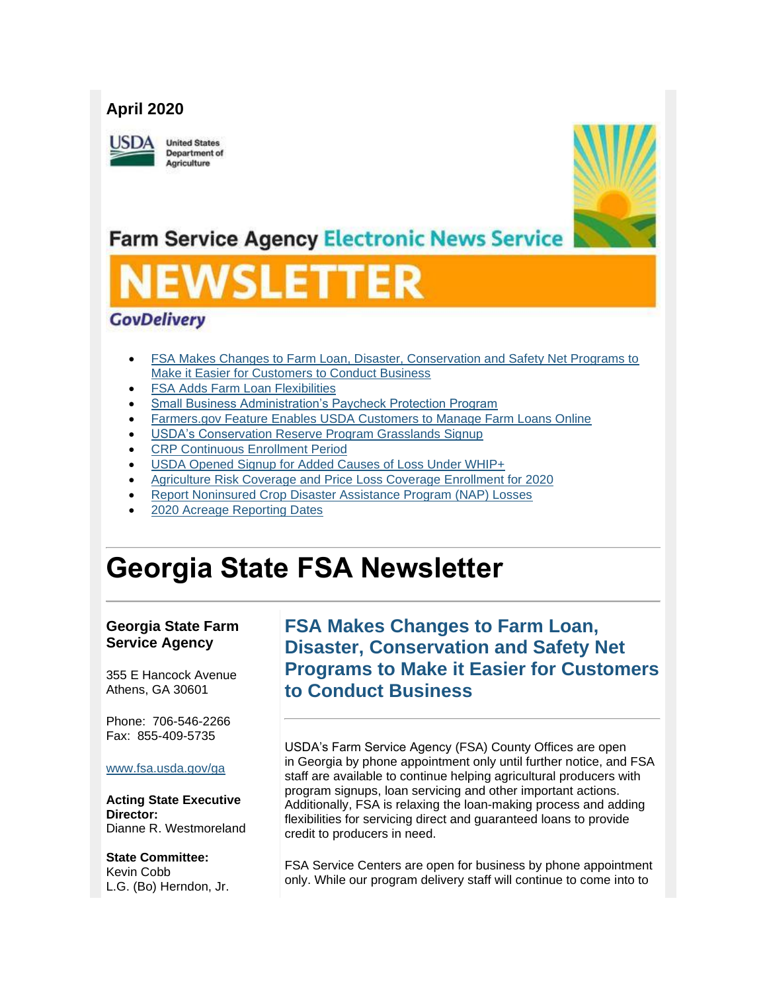#### **April 2020**

**JSDA** 

**United States Department of** Agriculture



## **Farm Service Agency Electronic News Service**

# SLEI

### **GovDelivery**

- [FSA Makes Changes to Farm Loan, Disaster, Conservation and Safety Net Programs to](#page-0-0)  [Make it Easier for Customers to Conduct Business](#page-0-0)
- **FSA Adds Farm Loan Flexibilities**
- [Small Business Administration's Paycheck Protection Program](#page-2-0)
- [Farmers.gov Feature Enables USDA Customers to Manage Farm Loans Online](#page-3-0)
- **USDA's Conservation Reserve Program Grasslands Signup**
- [CRP Continuous Enrollment Period](#page-4-0)
- [USDA Opened Signup for Added Causes of Loss Under WHIP+](#page-4-1)
- [Agriculture Risk Coverage and Price Loss Coverage Enrollment for 2020](#page-5-0)
- [Report Noninsured Crop Disaster Assistance Program \(NAP\) Losses](#page-6-0)
- [2020 Acreage Reporting Dates](#page-6-1)

## **Georgia State FSA Newsletter**

#### **Georgia State Farm Service Agency**

355 E Hancock Avenue Athens, GA 30601

Phone: 706-546-2266 Fax: 855-409-5735

#### [www.fsa.usda.gov/ga](https://gcc02.safelinks.protection.outlook.com/?url=http%3A%2F%2Fwww.fsa.usda.gov%2Fxx%3Futm_medium%3Demail%26utm_source%3Dgovdelivery&data=02%7C01%7C%7C7a0f496f87f94a70313908d7e077fce7%7Ced5b36e701ee4ebc867ee03cfa0d4697%7C0%7C0%7C637224678259098943&sdata=%2FFrDJvJWh3VeznQzqIstscTKW05iluYVE%2B24f1rgQCM%3D&reserved=0)

**Acting State Executive Director:** Dianne R. Westmoreland

#### **State Committee:**

Kevin Cobb L.G. (Bo) Herndon, Jr.

## <span id="page-0-0"></span>**FSA Makes Changes to Farm Loan, Disaster, Conservation and Safety Net Programs to Make it Easier for Customers to Conduct Business**

USDA's Farm Service Agency (FSA) County Offices are open in Georgia by phone appointment only until further notice, and FSA staff are available to continue helping agricultural producers with program signups, loan servicing and other important actions. Additionally, FSA is relaxing the loan-making process and adding flexibilities for servicing direct and guaranteed loans to provide credit to producers in need.

FSA Service Centers are open for business by phone appointment only. While our program delivery staff will continue to come into to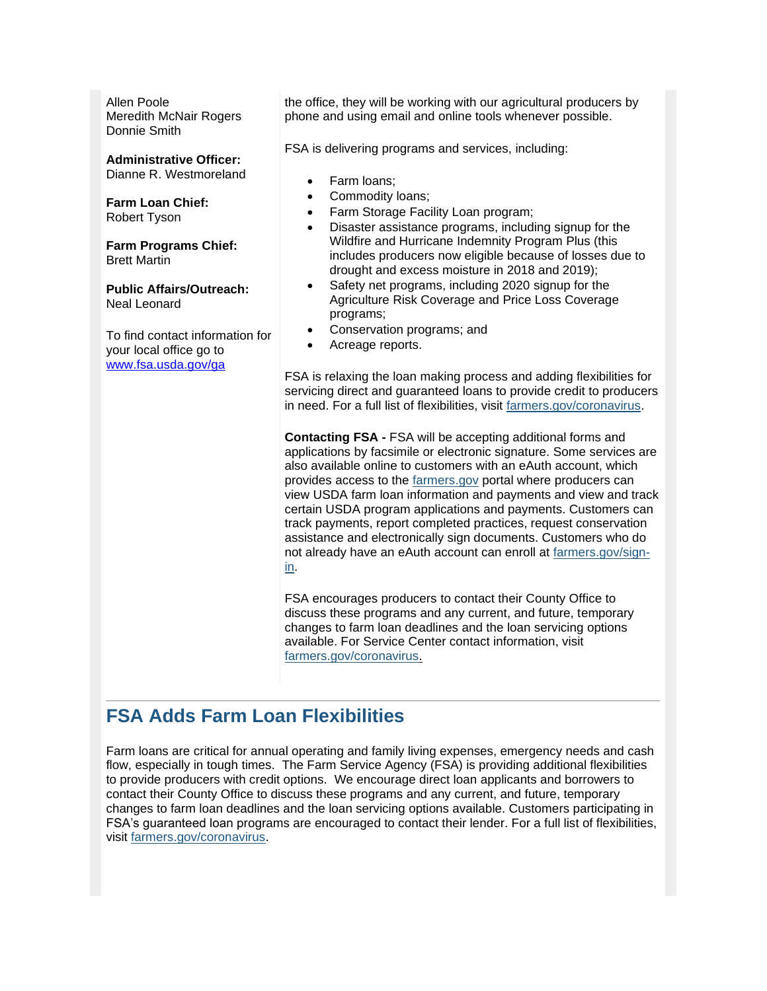Allen Poole Meredith McNair Rogers Donnie Smith

#### **Administrative Officer:**

Dianne R. Westmoreland

**Farm Loan Chief:** Robert Tyson

**Farm Programs Chief:** Brett Martin

**Public Affairs/Outreach:** Neal Leonard

To find contact information for your local office go to [www.fsa.usda.gov/ga](http://www.fsa.usda.gov/ga)

the office, they will be working with our agricultural producers by phone and using email and online tools whenever possible.

FSA is delivering programs and services, including:

- Farm loans;
- Commodity loans:
- Farm Storage Facility Loan program;
- Disaster assistance programs, including signup for the Wildfire and Hurricane Indemnity Program Plus (this includes producers now eligible because of losses due to drought and excess moisture in 2018 and 2019);
- Safety net programs, including 2020 signup for the Agriculture Risk Coverage and Price Loss Coverage programs;
- Conservation programs; and
- Acreage reports.

FSA is relaxing the loan making process and adding flexibilities for servicing direct and guaranteed loans to provide credit to producers in need. For a full list of flexibilities, visit [farmers.gov/coronavirus.](http://www.farmers.gov/coronavirus?utm_medium=email&utm_source=govdelivery)

**Contacting FSA -** FSA will be accepting additional forms and applications by facsimile or electronic signature. Some services are also available online to customers with an eAuth account, which provides access to the [farmers.gov](http://www.farmers.gov/?utm_medium=email&utm_source=govdelivery) portal where producers can view USDA farm loan information and payments and view and track certain USDA program applications and payments. Customers can track payments, report completed practices, request conservation assistance and electronically sign documents. Customers who do not already have an eAuth account can enroll at [farmers.gov/sign](https://www.farmers.gov/sign-in?utm_medium=email&utm_source=govdelivery)[in.](https://www.farmers.gov/sign-in?utm_medium=email&utm_source=govdelivery)

FSA encourages producers to contact their County Office to discuss these programs and any current, and future, temporary changes to farm loan deadlines and the loan servicing options available. For Service Center contact information, visit [farmers.gov/coronavirus.](https://www.farmers.gov/coronavirus?utm_medium=email&utm_source=govdelivery)

## <span id="page-1-0"></span>**FSA Adds Farm Loan Flexibilities**

Farm loans are critical for annual operating and family living expenses, emergency needs and cash flow, especially in tough times. The Farm Service Agency (FSA) is providing additional flexibilities to provide producers with credit options. We encourage direct loan applicants and borrowers to contact their County Office to discuss these programs and any current, and future, temporary changes to farm loan deadlines and the loan servicing options available. Customers participating in FSA's guaranteed loan programs are encouraged to contact their lender. For a full list of flexibilities, visit [farmers.gov/coronavirus.](http://www.farmers.gov/coronavirus?utm_medium=email&utm_source=govdelivery)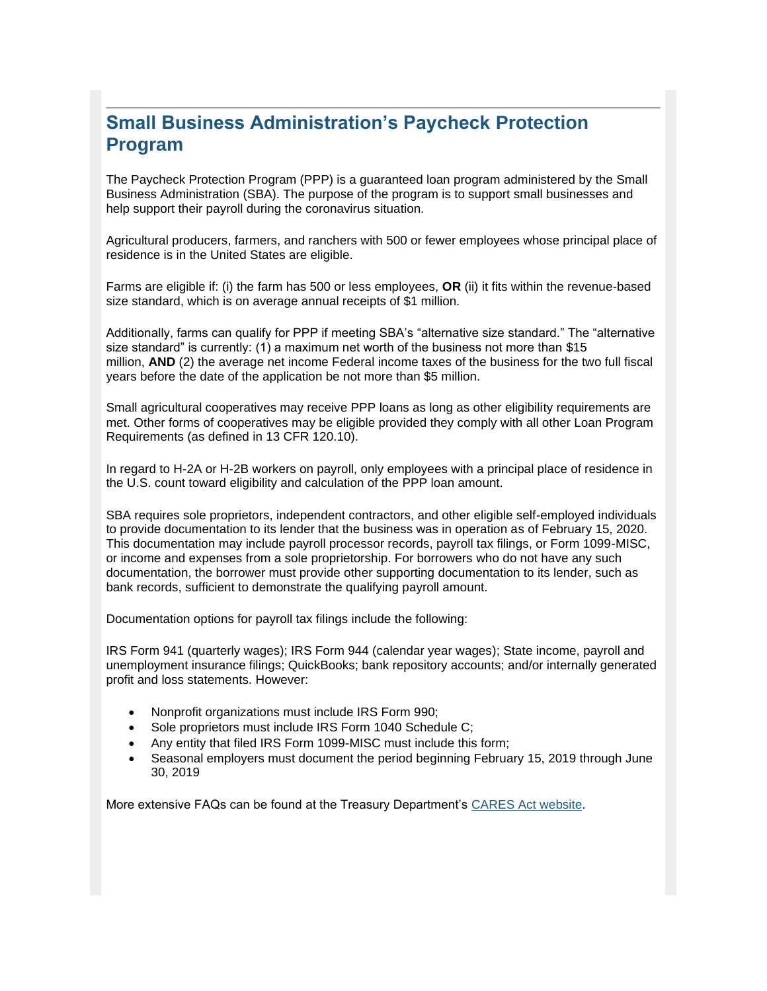## <span id="page-2-0"></span>**Small Business Administration's Paycheck Protection Program**

The Paycheck Protection Program (PPP) is a guaranteed loan program administered by the Small Business Administration (SBA). The purpose of the program is to support small businesses and help support their payroll during the coronavirus situation.

Agricultural producers, farmers, and ranchers with 500 or fewer employees whose principal place of residence is in the United States are eligible.

Farms are eligible if: (i) the farm has 500 or less employees, **OR** (ii) it fits within the revenue-based size standard, which is on average annual receipts of \$1 million.

Additionally, farms can qualify for PPP if meeting SBA's "alternative size standard." The "alternative size standard" is currently: (1) a maximum net worth of the business not more than \$15 million, **AND** (2) the average net income Federal income taxes of the business for the two full fiscal years before the date of the application be not more than \$5 million.

Small agricultural cooperatives may receive PPP loans as long as other eligibility requirements are met. Other forms of cooperatives may be eligible provided they comply with all other Loan Program Requirements (as defined in 13 CFR 120.10).

In regard to H-2A or H-2B workers on payroll, only employees with a principal place of residence in the U.S. count toward eligibility and calculation of the PPP loan amount.

SBA requires sole proprietors, independent contractors, and other eligible self-employed individuals to provide documentation to its lender that the business was in operation as of February 15, 2020. This documentation may include payroll processor records, payroll tax filings, or Form 1099-MISC, or income and expenses from a sole proprietorship. For borrowers who do not have any such documentation, the borrower must provide other supporting documentation to its lender, such as bank records, sufficient to demonstrate the qualifying payroll amount.

Documentation options for payroll tax filings include the following:

IRS Form 941 (quarterly wages); IRS Form 944 (calendar year wages); State income, payroll and unemployment insurance filings; QuickBooks; bank repository accounts; and/or internally generated profit and loss statements. However:

- Nonprofit organizations must include IRS Form 990;
- Sole proprietors must include IRS Form 1040 Schedule C;
- Any entity that filed IRS Form 1099-MISC must include this form;
- Seasonal employers must document the period beginning February 15, 2019 through June 30, 2019

More extensive FAQs can be found at the Treasury Department's [CARES Act website.](https://gcc02.safelinks.protection.outlook.com/?data=02%7C01%7C%7C61c558bdfcff4f0fa86c08d7db340828%7Ced5b36e701ee4ebc867ee03cfa0d4697%7C0%7C0%7C637218888826968314&reserved=0&sdata=w5ywC6BatLe6a77pfKiBrlCxM0xvAzVtEo%2BiRy8b1XY%3D&url=https%3A%2F%2Fhome.treasury.gov%2Fsystem%2Ffiles%2F136%2FPaycheck-Protection-Program-Frequenty-Asked-Questions.pdf%3Futm_medium%3Demail%26utm_source%3Dgovdelivery&utm_medium=email&utm_source=govdelivery)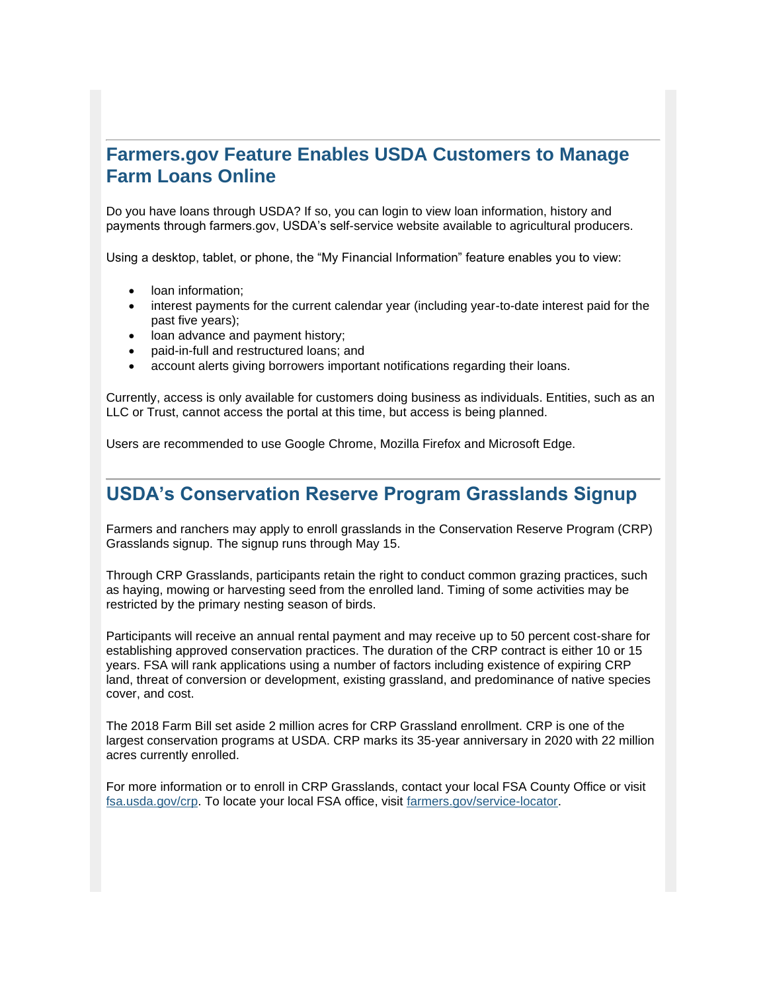## <span id="page-3-0"></span>**Farmers.gov Feature Enables USDA Customers to Manage Farm Loans Online**

Do you have loans through USDA? If so, you can login to view loan information, history and payments through farmers.gov, USDA's self-service website available to agricultural producers.

Using a desktop, tablet, or phone, the "My Financial Information" feature enables you to view:

- loan information;
- interest payments for the current calendar year (including year-to-date interest paid for the past five years);
- loan advance and payment history;
- paid-in-full and restructured loans; and
- account alerts giving borrowers important notifications regarding their loans.

Currently, access is only available for customers doing business as individuals. Entities, such as an LLC or Trust, cannot access the portal at this time, but access is being planned.

Users are recommended to use Google Chrome, Mozilla Firefox and Microsoft Edge.

#### <span id="page-3-1"></span>**USDA's Conservation Reserve Program Grasslands Signup**

Farmers and ranchers may apply to enroll grasslands in the Conservation Reserve Program (CRP) Grasslands signup. The signup runs through May 15.

Through CRP Grasslands, participants retain the right to conduct common grazing practices, such as haying, mowing or harvesting seed from the enrolled land. Timing of some activities may be restricted by the primary nesting season of birds.

Participants will receive an annual rental payment and may receive up to 50 percent cost-share for establishing approved conservation practices. The duration of the CRP contract is either 10 or 15 years. FSA will rank applications using a number of factors including existence of expiring CRP land, threat of conversion or development, existing grassland, and predominance of native species cover, and cost.

The 2018 Farm Bill set aside 2 million acres for CRP Grassland enrollment. CRP is one of the largest conservation programs at USDA. CRP marks its 35-year anniversary in 2020 with 22 million acres currently enrolled.

For more information or to enroll in CRP Grasslands, contact your local FSA County Office or visit [fsa.usda.gov/crp.](https://gcc02.safelinks.protection.outlook.com/?url=https%3A%2F%2Fwww.fsa.usda.gov%2Fprograms-and-services%2Fconservation-programs%2Fconservation-reserve-program%2Findex%3Futm_medium%3Demail%26utm_source%3Dgovdelivery&data=02%7C01%7C%7C7a0f496f87f94a70313908d7e077fce7%7Ced5b36e701ee4ebc867ee03cfa0d4697%7C0%7C0%7C637224678259108904&sdata=DSl2T5RYlyZNIOn29ACpJQ%2F7PYEa2M0mOt12%2FCywGFE%3D&reserved=0) To locate your local FSA office, visit [farmers.gov/service-locator.](https://www.farmers.gov/service-center-locator?utm_medium=email&utm_source=govdelivery)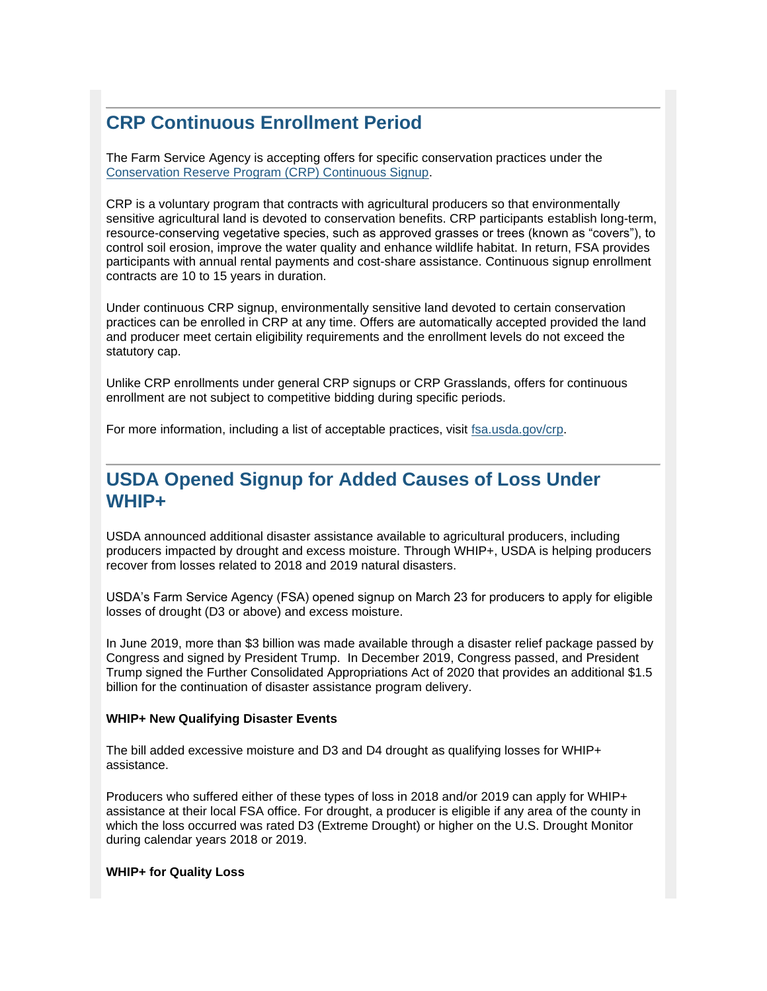## <span id="page-4-0"></span>**CRP Continuous Enrollment Period**

The Farm Service Agency is accepting offers for specific conservation practices under the [Conservation Reserve Program \(CRP\) Continuous Signup.](https://gcc02.safelinks.protection.outlook.com/?url=https%3A%2F%2Fwww.fsa.usda.gov%2FAssets%2FUSDA-FSA-Public%2Fusdafiles%2FFactSheets%2F2019%2Fcrp_continuous_enrollment_period-fact_sheet.pdf%3Futm_medium%3Demail%26utm_source%3Dgovdelivery&data=02%7C01%7C%7C7a0f496f87f94a70313908d7e077fce7%7Ced5b36e701ee4ebc867ee03cfa0d4697%7C0%7C1%7C637224678259108904&sdata=YVWCzIbNS8pKB3vevpCEW0ByvA0Ah7XAdQTo%2FbpZOPE%3D&reserved=0)

CRP is a voluntary program that contracts with agricultural producers so that environmentally sensitive agricultural land is devoted to conservation benefits. CRP participants establish long-term, resource-conserving vegetative species, such as approved grasses or trees (known as "covers"), to control soil erosion, improve the water quality and enhance wildlife habitat. In return, FSA provides participants with annual rental payments and cost-share assistance. Continuous signup enrollment contracts are 10 to 15 years in duration.

Under continuous CRP signup, environmentally sensitive land devoted to certain conservation practices can be enrolled in CRP at any time. Offers are automatically accepted provided the land and producer meet certain eligibility requirements and the enrollment levels do not exceed the statutory cap.

Unlike CRP enrollments under general CRP signups or CRP Grasslands, offers for continuous enrollment are not subject to competitive bidding during specific periods.

For more information, including a list of acceptable practices, visit [fsa.usda.gov/crp.](https://gcc02.safelinks.protection.outlook.com/?url=https%3A%2F%2Fwww.fsa.usda.gov%2Fprograms-and-services%2Fconservation-programs%2Fconservation-reserve-program%2Findex%3Futm_medium%3Demail%26utm_source%3Dgovdelivery&data=02%7C01%7C%7C7a0f496f87f94a70313908d7e077fce7%7Ced5b36e701ee4ebc867ee03cfa0d4697%7C0%7C0%7C637224678259118853&sdata=l3zTFHDjbQ91TcB9Zv7X2Ws8PTLLuq%2BTqh%2F0ybbIcIc%3D&reserved=0)

### <span id="page-4-1"></span>**USDA Opened Signup for Added Causes of Loss Under WHIP+**

USDA announced additional disaster assistance available to agricultural producers, including producers impacted by drought and excess moisture. Through WHIP+, USDA is helping producers recover from losses related to 2018 and 2019 natural disasters.

USDA's Farm Service Agency (FSA) opened signup on March 23 for producers to apply for eligible losses of drought (D3 or above) and excess moisture.

In June 2019, more than \$3 billion was made available through a disaster relief package passed by Congress and signed by President Trump. In December 2019, Congress passed, and President Trump signed the Further Consolidated Appropriations Act of 2020 that provides an additional \$1.5 billion for the continuation of disaster assistance program delivery.

#### **WHIP+ New Qualifying Disaster Events**

The bill added excessive moisture and D3 and D4 drought as qualifying losses for WHIP+ assistance.

Producers who suffered either of these types of loss in 2018 and/or 2019 can apply for WHIP+ assistance at their local FSA office. For drought, a producer is eligible if any area of the county in which the loss occurred was rated D3 (Extreme Drought) or higher on the U.S. Drought Monitor during calendar years 2018 or 2019.

#### **WHIP+ for Quality Loss**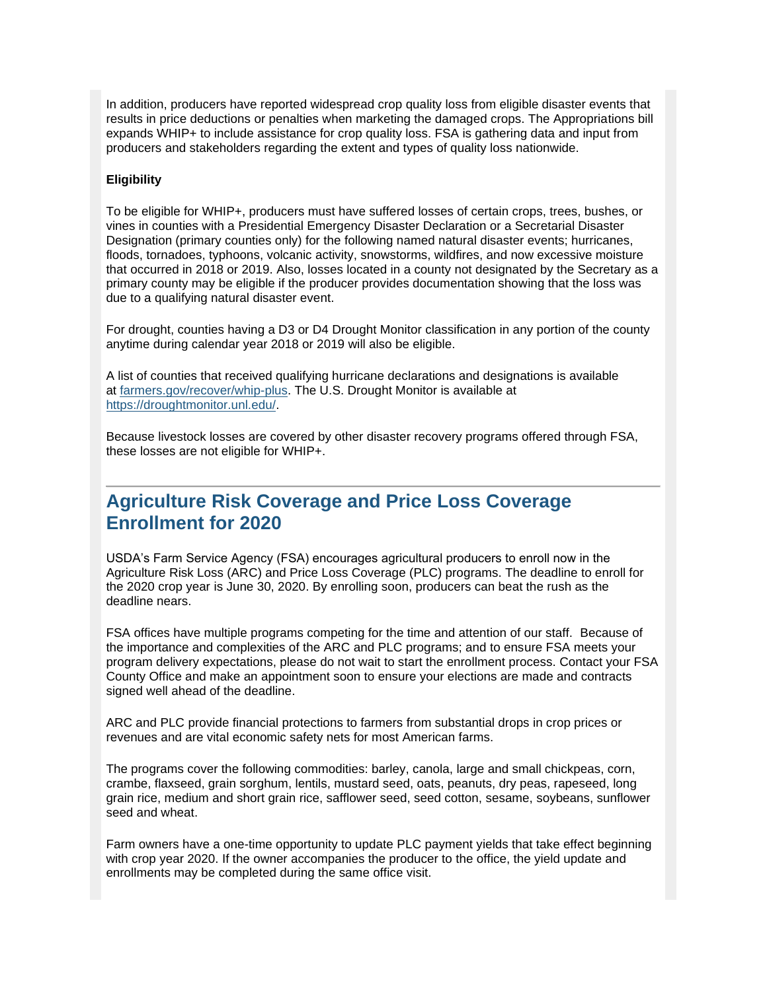In addition, producers have reported widespread crop quality loss from eligible disaster events that results in price deductions or penalties when marketing the damaged crops. The Appropriations bill expands WHIP+ to include assistance for crop quality loss. FSA is gathering data and input from producers and stakeholders regarding the extent and types of quality loss nationwide.

#### **Eligibility**

To be eligible for WHIP+, producers must have suffered losses of certain crops, trees, bushes, or vines in counties with a Presidential Emergency Disaster Declaration or a Secretarial Disaster Designation (primary counties only) for the following named natural disaster events; hurricanes, floods, tornadoes, typhoons, volcanic activity, snowstorms, wildfires, and now excessive moisture that occurred in 2018 or 2019. Also, losses located in a county not designated by the Secretary as a primary county may be eligible if the producer provides documentation showing that the loss was due to a qualifying natural disaster event.

For drought, counties having a D3 or D4 Drought Monitor classification in any portion of the county anytime during calendar year 2018 or 2019 will also be eligible.

A list of counties that received qualifying hurricane declarations and designations is available at [farmers.gov/recover/whip-plus.](http://www.farmers.gov/whip-plus?utm_medium=email&utm_source=govdelivery) The U.S. Drought Monitor is available at [https://droughtmonitor.unl.edu/.](https://gcc02.safelinks.protection.outlook.com/?url=https%3A%2F%2Fdroughtmonitor.unl.edu%2F%3Futm_medium%3Demail%26utm_source%3Dgovdelivery&data=02%7C01%7C%7C7a0f496f87f94a70313908d7e077fce7%7Ced5b36e701ee4ebc867ee03cfa0d4697%7C0%7C1%7C637224678259118853&sdata=26YKTbCZEjVKFfrawQwyK9VdVneXctBVz7DTKiWLnmA%3D&reserved=0)

Because livestock losses are covered by other disaster recovery programs offered through FSA, these losses are not eligible for WHIP+.

#### <span id="page-5-0"></span>**Agriculture Risk Coverage and Price Loss Coverage Enrollment for 2020**

USDA's Farm Service Agency (FSA) encourages agricultural producers to enroll now in the Agriculture Risk Loss (ARC) and Price Loss Coverage (PLC) programs. The deadline to enroll for the 2020 crop year is June 30, 2020. By enrolling soon, producers can beat the rush as the deadline nears.

FSA offices have multiple programs competing for the time and attention of our staff. Because of the importance and complexities of the ARC and PLC programs; and to ensure FSA meets your program delivery expectations, please do not wait to start the enrollment process. Contact your FSA County Office and make an appointment soon to ensure your elections are made and contracts signed well ahead of the deadline.

ARC and PLC provide financial protections to farmers from substantial drops in crop prices or revenues and are vital economic safety nets for most American farms.

The programs cover the following commodities: barley, canola, large and small chickpeas, corn, crambe, flaxseed, grain sorghum, lentils, mustard seed, oats, peanuts, dry peas, rapeseed, long grain rice, medium and short grain rice, safflower seed, seed cotton, sesame, soybeans, sunflower seed and wheat.

Farm owners have a one-time opportunity to update PLC payment yields that take effect beginning with crop year 2020. If the owner accompanies the producer to the office, the yield update and enrollments may be completed during the same office visit.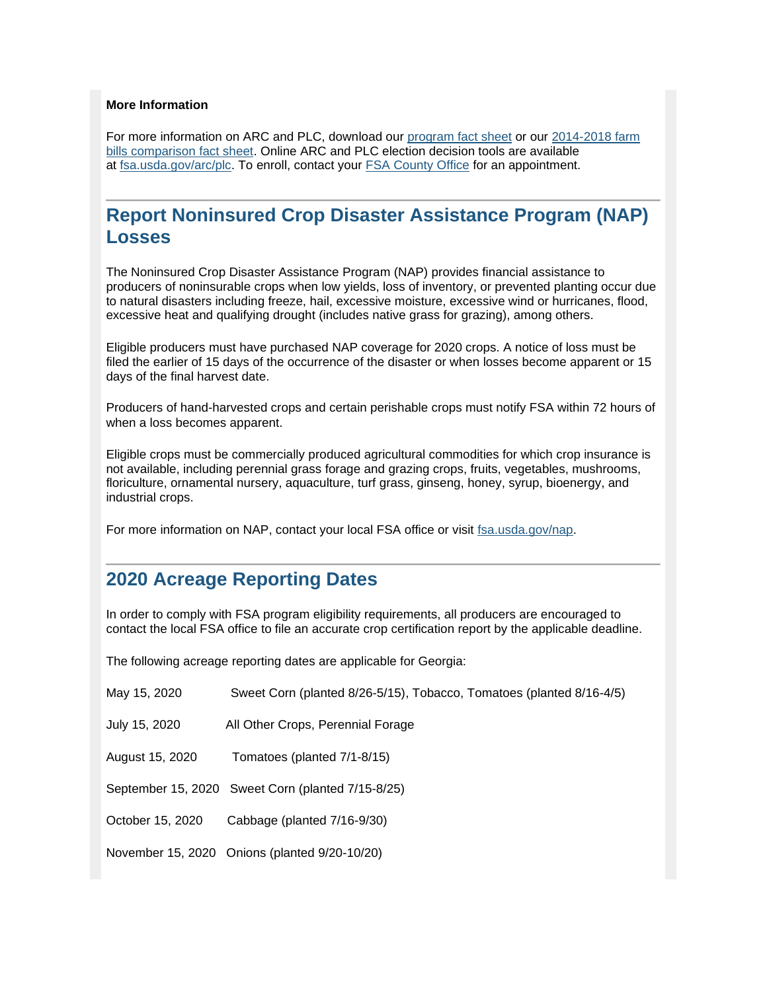#### **More Information**

For more information on ARC and PLC, download our [program fact sheet](https://gcc02.safelinks.protection.outlook.com/?data=02%7C01%7C%7Ce90faadfc63e47d45f7508d799d0b87e%7Ced5b36e701ee4ebc867ee03cfa0d4697%7C0%7C0%7C637146994033875406&reserved=0&sdata=JK5MDjrAUaio%2Fj9PfP8gvgj5Q%2FVuu1iESaY7mGbkP1U%3D&url=https%3A%2F%2Fwww.fsa.usda.gov%2FAssets%2FUSDA-FSA-Public%2Fusdafiles%2FFactSheets%2F2019%2Farc-plc_overview_fact_sheet-aug_2019.pdf%3Futm_medium%3Demail%26utm_source%3Dgovdelivery&utm_medium=email&utm_source=govdelivery) or our 2014-2018 farm [bills comparison fact sheet.](https://gcc02.safelinks.protection.outlook.com/?data=02%7C01%7C%7Ce90faadfc63e47d45f7508d799d0b87e%7Ced5b36e701ee4ebc867ee03cfa0d4697%7C0%7C0%7C637146994033875406&reserved=0&sdata=ztcHobFxbL0rhSEWwUBR2SPvSYdTuc8jUk4oI2vUG54%3D&url=https%3A%2F%2Fwww.fsa.usda.gov%2FAssets%2FUSDA-FSA-Public%2Fusdafiles%2FFactSheets%2F2019%2Farc-plc_farm_bill_comparisons-fact_sheet-aug-2019.pdf%3Futm_medium%3Demail%26utm_source%3Dgovdelivery&utm_medium=email&utm_source=govdelivery) Online ARC and PLC election decision tools are available at [fsa.usda.gov/arc/plc.](https://gcc02.safelinks.protection.outlook.com/?url=https%3A%2F%2Fwww.fsa.usda.gov%2Fprograms-and-services%2Farcplc_program%2Findex%3Futm_medium%3Demail%26utm_source%3Dgovdelivery&data=02%7C01%7C%7C7a0f496f87f94a70313908d7e077fce7%7Ced5b36e701ee4ebc867ee03cfa0d4697%7C0%7C0%7C637224678259128801&sdata=HNygJgatOggULA8SiZPDOIROnopeVXDZMhw6Qf%2FNvbo%3D&reserved=0) To enroll, contact your [FSA County Office](https://www.farmers.gov/service-locator?utm_medium=email&utm_source=govdelivery) for an appointment.

## <span id="page-6-0"></span>**Report Noninsured Crop Disaster Assistance Program (NAP) Losses**

The Noninsured Crop Disaster Assistance Program (NAP) provides financial assistance to producers of noninsurable crops when low yields, loss of inventory, or prevented planting occur due to natural disasters including freeze, hail, excessive moisture, excessive wind or hurricanes, flood, excessive heat and qualifying drought (includes native grass for grazing), among others.

Eligible producers must have purchased NAP coverage for 2020 crops. A notice of loss must be filed the earlier of 15 days of the occurrence of the disaster or when losses become apparent or 15 days of the final harvest date.

Producers of hand-harvested crops and certain perishable crops must notify FSA within 72 hours of when a loss becomes apparent.

Eligible crops must be commercially produced agricultural commodities for which crop insurance is not available, including perennial grass forage and grazing crops, fruits, vegetables, mushrooms, floriculture, ornamental nursery, aquaculture, turf grass, ginseng, honey, syrup, bioenergy, and industrial crops.

For more information on NAP, contact your local FSA office or visit [fsa.usda.gov/nap.](https://gcc02.safelinks.protection.outlook.com/?url=http%3A%2F%2Fwww.fsa.usda.gov%2Fnap%3Futm_medium%3Demail%26utm_source%3Dgovdelivery&data=02%7C01%7C%7C7a0f496f87f94a70313908d7e077fce7%7Ced5b36e701ee4ebc867ee03cfa0d4697%7C0%7C0%7C637224678259128801&sdata=BniAeAwdYZblLiG2SHrHCpUKSsBFU4%2B%2BG%2FFWMOcHm1U%3D&reserved=0)

#### <span id="page-6-1"></span>**2020 Acreage Reporting Dates**

In order to comply with FSA program eligibility requirements, all producers are encouraged to contact the local FSA office to file an accurate crop certification report by the applicable deadline.

The following acreage reporting dates are applicable for Georgia:

| May 15, 2020     | Sweet Corn (planted 8/26-5/15), Tobacco, Tomatoes (planted 8/16-4/5) |
|------------------|----------------------------------------------------------------------|
| July 15, 2020    | All Other Crops, Perennial Forage                                    |
| August 15, 2020  | Tomatoes (planted 7/1-8/15)                                          |
|                  | September 15, 2020 Sweet Corn (planted 7/15-8/25)                    |
| October 15, 2020 | Cabbage (planted 7/16-9/30)                                          |
|                  | November 15, 2020 Onions (planted 9/20-10/20)                        |